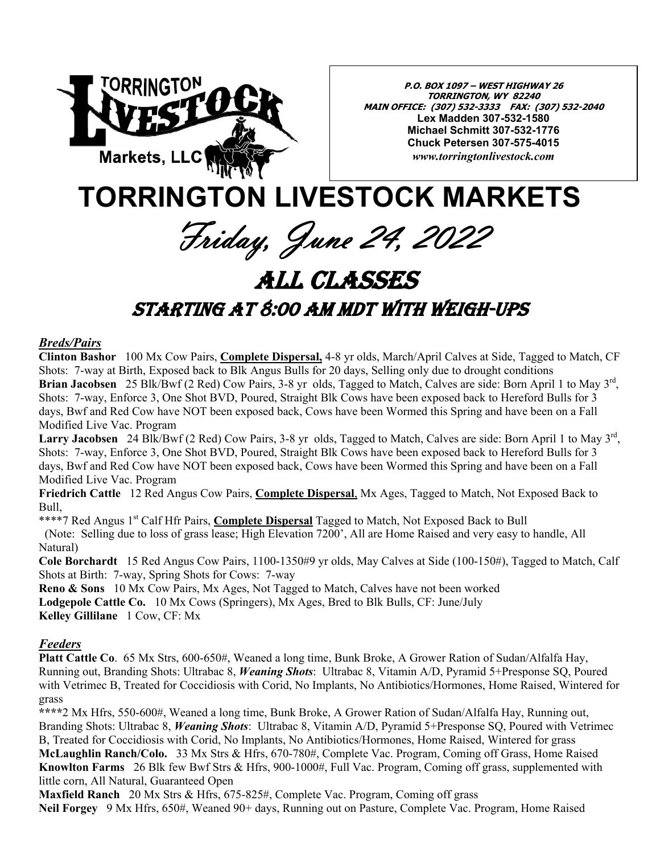

**P.O. BOX 1097 – WEST HIGHWAY 26 TORRINGTON, WY 82240 MAIN OFFICE: (307) 532-3333 FAX: (307) 532-2040 Lex Madden 307-532-1580 Michael Schmitt 307-532-1776 Chuck Petersen 307-575-4015**  *www.torringtonlivestock.com* 

# **TORRINGTON LIVESTOCK MARKETS**

Friday, June 24, 2022

# ALL CLASSES

## STARTING AT 8:00 AM MDT WITH WEIGH-UPS

#### *Breds/Pairs*

**Clinton Bashor** 100 Mx Cow Pairs, **Complete Dispersal,** 4-8 yr olds, March/April Calves at Side, Tagged to Match, CF Shots: 7-way at Birth, Exposed back to Blk Angus Bulls for 20 days, Selling only due to drought conditions **Brian Jacobsen** 25 Blk/Bwf (2 Red) Cow Pairs, 3-8 yr olds, Tagged to Match, Calves are side: Born April 1 to May 3rd, Shots: 7-way, Enforce 3, One Shot BVD, Poured, Straight Blk Cows have been exposed back to Hereford Bulls for 3 days, Bwf and Red Cow have NOT been exposed back, Cows have been Wormed this Spring and have been on a Fall Modified Live Vac. Program

**Larry Jacobsen** 24 Blk/Bwf (2 Red) Cow Pairs, 3-8 yr olds, Tagged to Match, Calves are side: Born April 1 to May 3rd, Shots: 7-way, Enforce 3, One Shot BVD, Poured, Straight Blk Cows have been exposed back to Hereford Bulls for 3 days, Bwf and Red Cow have NOT been exposed back, Cows have been Wormed this Spring and have been on a Fall Modified Live Vac. Program

**Friedrich Cattle** 12 Red Angus Cow Pairs, **Complete Dispersal**, Mx Ages, Tagged to Match, Not Exposed Back to Bull,

\*\*\*\*7 Red Angus 1<sup>st</sup> Calf Hfr Pairs, **Complete Dispersal** Tagged to Match, Not Exposed Back to Bull

 (Note: Selling due to loss of grass lease; High Elevation 7200', All are Home Raised and very easy to handle, All Natural)

**Cole Borchardt** 15 Red Angus Cow Pairs, 1100-1350#9 yr olds, May Calves at Side (100-150#), Tagged to Match, Calf Shots at Birth: 7-way, Spring Shots for Cows: 7-way

**Reno & Sons** 10 Mx Cow Pairs, Mx Ages, Not Tagged to Match, Calves have not been worked **Lodgepole Cattle Co.** 10 Mx Cows (Springers), Mx Ages, Bred to Blk Bulls, CF: June/July **Kelley Gillilane** 1 Cow, CF: Mx

### *Feeders*

**Platt Cattle Co**. 65 Mx Strs, 600-650#, Weaned a long time, Bunk Broke, A Grower Ration of Sudan/Alfalfa Hay, Running out, Branding Shots: Ultrabac 8, *Weaning Shots*: Ultrabac 8, Vitamin A/D, Pyramid 5+Presponse SQ, Poured with Vetrimec B, Treated for Coccidiosis with Corid, No Implants, No Antibiotics/Hormones, Home Raised, Wintered for grass

**\*\*\*\***2 Mx Hfrs, 550-600#, Weaned a long time, Bunk Broke, A Grower Ration of Sudan/Alfalfa Hay, Running out, Branding Shots: Ultrabac 8, *Weaning Shots*: Ultrabac 8, Vitamin A/D, Pyramid 5+Presponse SQ, Poured with Vetrimec B, Treated for Coccidiosis with Corid, No Implants, No Antibiotics/Hormones, Home Raised, Wintered for grass **McLaughlin Ranch/Colo.** 33 Mx Strs & Hfrs, 670-780#, Complete Vac. Program, Coming off Grass, Home Raised **Knowlton Farms** 26 Blk few Bwf Strs & Hfrs, 900-1000#, Full Vac. Program, Coming off grass, supplemented with little corn, All Natural, Guaranteed Open

**Maxfield Ranch** 20 Mx Strs & Hfrs, 675-825#, Complete Vac. Program, Coming off grass **Neil Forgey** 9 Mx Hfrs, 650#, Weaned 90+ days, Running out on Pasture, Complete Vac. Program, Home Raised